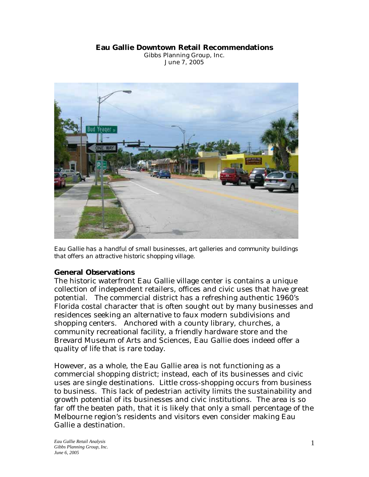#### **Eau Gallie Downtown Retail Recommendations**

Gibbs Planning Group, Inc. June 7, 2005



*Eau Gallie has a handful of small businesses, art galleries and community buildings that offers an attractive historic shopping village.* 

### **General Observations**

The historic waterfront Eau Gallie village center is contains a unique collection of independent retailers, offices and civic uses that have great potential. The commercial district has a refreshing authentic 1960's Florida costal character that is often sought out by many businesses and residences seeking an alternative to faux modern subdivisions and shopping centers. Anchored with a county library, churches, a community recreational facility, a friendly hardware store and the Brevard Museum of Arts and Sciences, Eau Gallie does indeed offer a quality of life that is rare today.

However, as a whole, the Eau Gallie area is not functioning as a commercial shopping district; instead, each of its businesses and civic uses are single destinations. Little cross-shopping occurs from business to business. This lack of pedestrian activity limits the sustainability and growth potential of its businesses and civic institutions. The area is so far off the beaten path, that it is likely that only a small percentage of the Melbourne region's residents and visitors even consider making Eau Gallie a destination.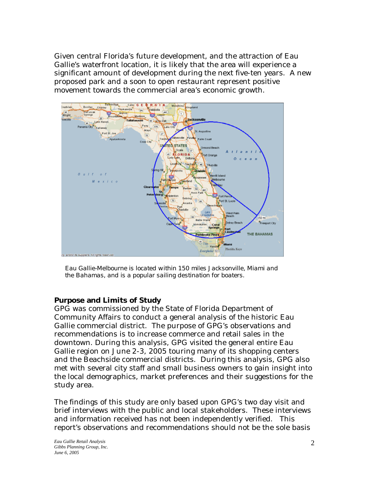Given central Florida's future development, and the attraction of Eau Gallie's waterfront location, it is likely that the area will experience a significant amount of development during the next five-ten years. A new proposed park and a soon to open restaurant represent positive movement towards the commercial area's economic growth.



*Eau Gallie-Melbourne is located within 150 miles Jacksonville, Miami and the Bahamas, and is a popular sailing destination for boaters.* 

### **Purpose and Limits of Study**

GPG was commissioned by the State of Florida Department of Community Affairs to conduct a general analysis of the historic Eau Gallie commercial district. The purpose of GPG's observations and recommendations is to increase commerce and retail sales in the downtown. During this analysis, GPG visited the general entire Eau Gallie region on June 2-3, 2005 touring many of its shopping centers and the Beachside commercial districts. During this analysis, GPG also met with several city staff and small business owners to gain insight into the local demographics, market preferences and their suggestions for the study area.

The findings of this study are only based upon GPG's two day visit and brief interviews with the public and local stakeholders. These interviews and information received has not been independently verified. This report's observations and recommendations should not be the sole basis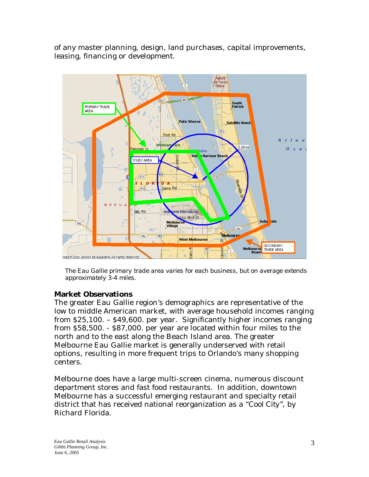of any master planning, design, land purchases, capital improvements, leasing, financing or development.



*The Eau Gallie primary trade area varies for each business, but on average extends approximately 3-4 miles.*

# **Market Observations**

The greater Eau Gallie region's demographics are representative of the low to middle American market, with average household incomes ranging from \$25,100. – \$49,600. per year. Significantly higher incomes ranging from \$58,500. - \$87,000. per year are located within four miles to the north and to the east along the Beach Island area. The greater Melbourne Eau Gallie market is generally underserved with retail options, resulting in more frequent trips to Orlando's many shopping centers.

Melbourne does have a large multi-screen cinema, numerous discount department stores and fast food restaurants. In addition, downtown Melbourne has a successful emerging restaurant and specialty retail district that has received national reorganization as a *"Cool City*", by Richard Florida.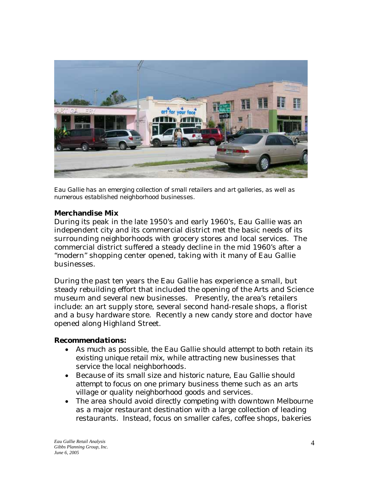

*Eau Gallie has an emerging collection of small retailers and art galleries, as well as numerous established neighborhood businesses.* 

### **Merchandise Mix**

During its peak in the late 1950's and early 1960's, Eau Gallie was an independent city and its commercial district met the basic needs of its surrounding neighborhoods with grocery stores and local services. The commercial district suffered a steady decline in the mid 1960's after a "modern" shopping center opened, taking with it many of Eau Gallie businesses.

During the past ten years the Eau Gallie has experience a small, but steady rebuilding effort that included the opening of the Arts and Science museum and several new businesses. Presently, the area's retailers include: an art supply store, several second hand-resale shops, a florist and a busy hardware store. Recently a new candy store and doctor have opened along Highland Street.

### *Recommendations:*

- *As much as possible, the Eau Gallie should attempt to both retain its existing unique retail mix, while attracting new businesses that service the local neighborhoods.*
- *Because of its small size and historic nature, Eau Gallie should attempt to focus on one primary business theme such as an arts village or quality neighborhood goods and services.*
- *The area should avoid directly competing with downtown Melbourne as a major restaurant destination with a large collection of leading restaurants. Instead, focus on smaller cafes, coffee shops, bakeries*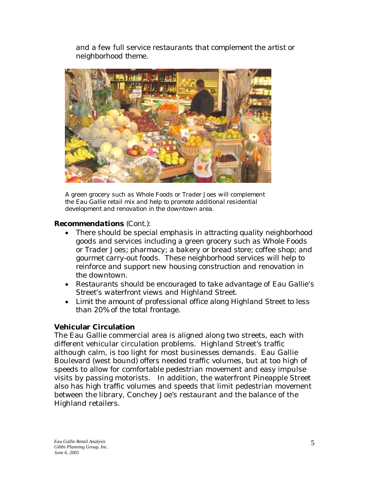*and a few full service restaurants that complement the artist or neighborhood theme.* 



*A green grocery such as Whole Foods or Trader Joes will complement the Eau Gallie retail mix and help to promote additional residential development and renovation in the downtown area.* 

## *Recommendations (Cont.):*

- *There should be special emphasis in attracting quality neighborhood goods and services including a green grocery such as Whole Foods or Trader Joes; pharmacy; a bakery or bread store; coffee shop; and gourmet carry-out foods. These neighborhood services will help to reinforce and support new housing construction and renovation in the downtown.*
- *Restaurants should be encouraged to take advantage of Eau Gallie's Street's waterfront views and Highland Street.*
- *Limit the amount of professional office along Highland Street to less than 20% of the total frontage.*

# **Vehicular Circulation**

The Eau Gallie commercial area is aligned along two streets, each with different vehicular circulation problems. Highland Street's traffic although calm, is too light for most businesses demands. Eau Gallie Boulevard (west bound) offers needed traffic volumes, but at too high of speeds to allow for comfortable pedestrian movement and easy impulse visits by passing motorists. In addition, the waterfront Pineapple Street also has high traffic volumes and speeds that limit pedestrian movement between the library, Conchey Joe's restaurant and the balance of the Highland retailers.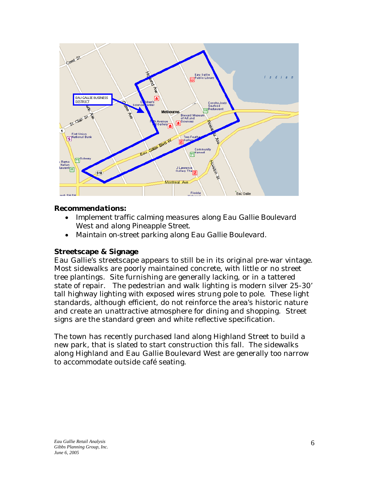

#### *Recommendations:*

- *Implement traffic calming measures along Eau Gallie Boulevard West and along Pineapple Street.*
- *Maintain on-street parking along Eau Gallie Boulevard.*

### **Streetscape & Signage**

Eau Gallie's streetscape appears to still be in its original pre-war vintage. Most sidewalks are poorly maintained concrete, with little or no street tree plantings. Site furnishing are generally lacking, or in a tattered state of repair. The pedestrian and walk lighting is modern silver 25-30' tall highway lighting with exposed wires strung pole to pole. These light standards, although efficient, do not reinforce the area's historic nature and create an unattractive atmosphere for dining and shopping. Street signs are the standard green and white reflective specification.

The town has recently purchased land along Highland Street to build a new park, that is slated to start construction this fall. The sidewalks along Highland and Eau Gallie Boulevard West are generally too narrow to accommodate outside café seating.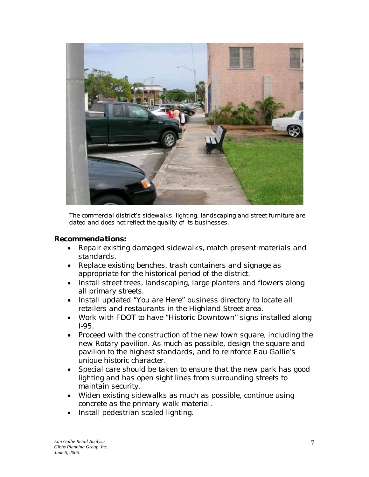

*The commercial district's sidewalks, lighting, landscaping and street furniture are dated and does not reflect the quality of its businesses.* 

#### *Recommendations:*

- *Repair existing damaged sidewalks, match present materials and standards.*
- *Replace existing benches, trash containers and signage as appropriate for the historical period of the district.*
- *Install street trees, landscaping, large planters and flowers along all primary streets.*
- *Install updated "You are Here" business directory to locate all retailers and restaurants in the Highland Street area.*
- *Work with FDOT to have "Historic Downtown" signs installed along I-95.*
- *Proceed with the construction of the new town square, including the new Rotary pavilion. As much as possible, design the square and pavilion to the highest standards, and to reinforce Eau Gallie's unique historic character.*
- *Special care should be taken to ensure that the new park has good lighting and has open sight lines from surrounding streets to maintain security.*
- *Widen existing sidewalks as much as possible, continue using concrete as the primary walk material.*
- *Install pedestrian scaled lighting.*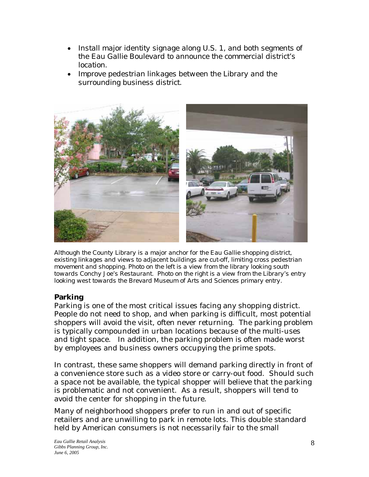- *Install major identity signage along U.S. 1, and both segments of the Eau Gallie Boulevard to announce the commercial district's location.*
- *Improve pedestrian linkages between the Library and the surrounding business district.*



*Although the County Library is a major anchor for the Eau Gallie shopping district, existing linkages and views to adjacent buildings are cut-off, limiting cross pedestrian movement and shopping. Photo on the left is a view from the library looking south towards Conchy Joe's Restaurant. Photo on the right is a view from the Library's entry looking west towards the Brevard Museum of Arts and Sciences primary entry.* 

# **Parking**

Parking is one of the most critical issues facing any shopping district. People do not need to shop, and when parking is difficult, most potential shoppers will avoid the visit, often never returning. The parking problem is typically compounded in urban locations because of the multi-uses and tight space. In addition, the parking problem is often made worst by employees and business owners occupying the prime spots.

In contrast, these same shoppers will demand parking directly in front of a convenience store such as a video store or carry-out food. Should such a space not be available, the typical shopper will believe that the parking is problematic and not convenient. As a result, shoppers will tend to avoid the center for shopping in the future.

Many of neighborhood shoppers prefer to run in and out of specific retailers and are unwilling to park in remote lots. This double standard held by American consumers is not necessarily fair to the small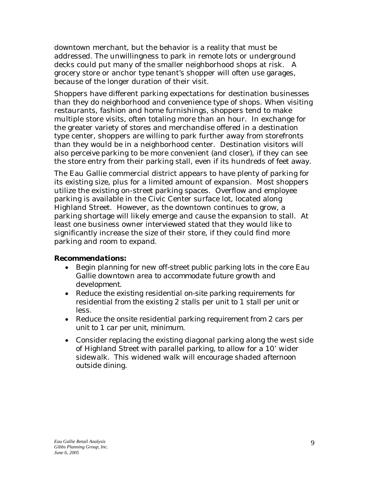downtown merchant, but the behavior is a reality that must be addressed. The unwillingness to park in remote lots or underground decks could put many of the smaller neighborhood shops at risk. A grocery store or anchor type tenant's shopper will often use garages, because of the longer duration of their visit.

Shoppers have different parking expectations for destination businesses than they do neighborhood and convenience type of shops. When visiting restaurants, fashion and home furnishings, shoppers tend to make multiple store visits, often totaling more than an hour. In exchange for the greater variety of stores and merchandise offered in a destination type center, shoppers are willing to park further away from storefronts than they would be in a neighborhood center. Destination visitors will also perceive parking to be more convenient (and closer), if they can see the store entry from their parking stall, even if its hundreds of feet away.

The Eau Gallie commercial district appears to have plenty of parking for its existing size, plus for a limited amount of expansion. Most shoppers utilize the existing on-street parking spaces. Overflow and employee parking is available in the Civic Center surface lot, located along Highland Street. However, as the downtown continues to grow, a parking shortage will likely emerge and cause the expansion to stall. At least one business owner interviewed stated that they would like to significantly increase the size of their store, if they could find more parking and room to expand.

### *Recommendations:*

- *Begin planning for new off-street public parking lots in the core Eau Gallie downtown area to accommodate future growth and development.*
- *Reduce the existing residential on-site parking requirements for residential from the existing 2 stalls per unit to 1 stall per unit or less.*
- *Reduce the onsite residential parking requirement from 2 cars per unit to 1 car per unit, minimum.*
- *Consider replacing the existing diagonal parking along the west side of Highland Street with parallel parking, to allow for a 10' wider sidewalk. This widened walk will encourage shaded afternoon outside dining.*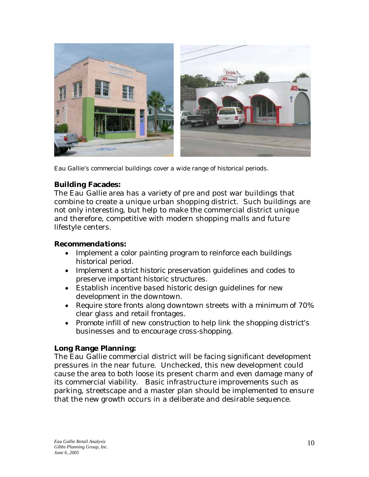

*Eau Gallie's commercial buildings cover a wide range of historical periods.* 

## **Building Facades:**

The Eau Gallie area has a variety of pre and post war buildings that combine to create a unique urban shopping district. Such buildings are not only interesting, but help to make the commercial district unique and therefore, competitive with modern shopping malls and future lifestyle centers.

### *Recommendations:*

- *Implement a color painting program to reinforce each buildings historical period.*
- *Implement a strict historic preservation guidelines and codes to preserve important historic structures.*
- *Establish incentive based historic design guidelines for new development in the downtown.*
- *Require store fronts along downtown streets with a minimum of 70% clear glass and retail frontages.*
- *Promote infill of new construction to help link the shopping district's businesses and to encourage cross-shopping.*

### **Long Range Planning:**

The Eau Gallie commercial district will be facing significant development pressures in the near future. Unchecked, this new development could cause the area to both loose its present charm and even damage many of its commercial viability. Basic infrastructure improvements such as parking, streetscape and a master plan should be implemented to ensure that the new growth occurs in a deliberate and desirable sequence.